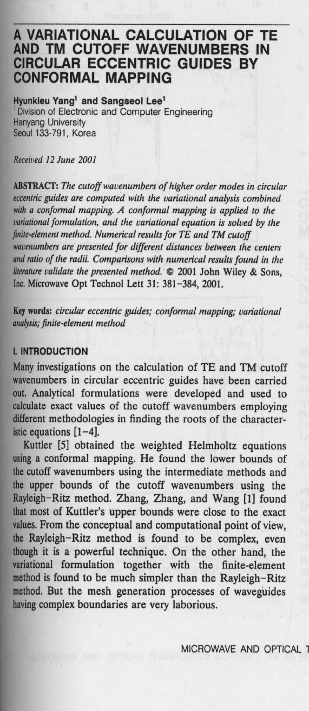# **A VARIATIONAL CALCULATION OF TE AND TM CUTOFF WAVENUMBERS IN CIRCULAR ECCENTRIC GUIDES BY CONFORMAL MAPPING**

**Hyunkieu Yang**' **and Sangseol Lee'** 'Division of Electronic and Computer Engineering Hanyang University Seoul 133-791, Korea

*Received 12 June 2001*

**ABSTRACT**: *The cutoff wavenumbers of higher order modes in circular eccentric guides are computed with the variational analysis combined* **with** *a conformal mapping. A conformal mapping* **is** *applied to the variational formulation, and the variational equation is solved by the finite-element method. Numerical results for TE and TM cutoff wavenumbers are presented for different distances between the centers and ratio of the radii. Comparisons with numerical results found in the literature validate the presented method.* © **2001 John Wiley & Sons, Inc. Microwave Opt Technol Lett 31: 381** -**384, 2001.**

**Key words**: *circular eccentric guides; conformal mapping; variational* analysis; *finite-element method*

### **1. INTRODUCTION**

Many investigations on the calculation of TE and TM cutoff wavenumbers in circular eccentric guides have been carried out. Analytical formulations were developed and used to calculate exact values of the cutoff wavenumbers employing different methodologies in finding the roots of the characteristic equations [1-4].

Kuttler [5] obtained the weighted Helmholtz equations **using** a conformal mapping. He found the lower bounds of the cutoff wavenumbers using the intermediate methods and the upper bounds of the cutoff wavenumbers using the Rayleigh-Ritz method. Zhang, Zhang, and Wang [1] found that most of Kuttler's upper bounds were close to the exact **values**. From the conceptual and computational point of view, the Rayleigh-Ritz method is found to be complex, even **though it is** a powerful technique. On the other hand, the variational formulation together with the finite-element method is found to be much simpler than the Rayleigh-Ritz **method**. **But the mesh generation** processes of waveguides **having complex** boundaries are very laborious.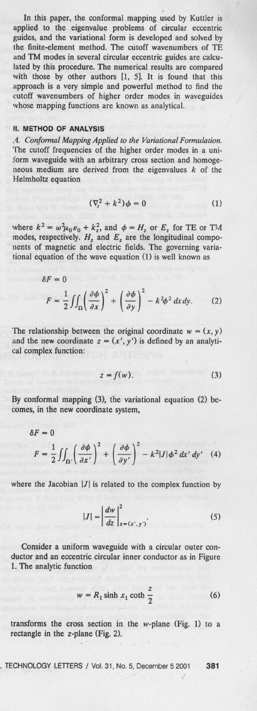In this paper, the conformal mapping used by Kuttler is applied to the eigenvalue problems of circular eccentric guides, and the variational form is developed and solved by the finite-element method. The cutoff wavenumbers of TE and TM modes in several circular eccentric guides are calculated by this procedure. The numerical results are compared with those by other authors [1, 5]. It is found that this approach is a very simple and powerful method to find the cutoff wavenumbers of higher order modes in waveguides whose mapping functions are known as analytical.

## **II. METHOD OF ANALYSIS**

*.4. Conformal Mapping Applied to the Variational Formulation.* The cutoff frequencies of the higher order modes in a uniform waveguide with an arbitrary cross section and homogeneous medium are derived from the eigenvalues  $k$  of the Helmholtz equation

$$
(\nabla_t^2 + k^2)\phi = 0
$$
 (1)

where  $k^2 = \omega^2 \mu_0 \varepsilon_0 + k_z^2$ , and  $\phi = H_z$  or  $E_z$  for TE or TM modes, respectively.  $H_z$  and  $E_z$  are the longitudinal compo**nents of magnetic and electric fields** . **The governing variational equation of the wave equation (1) is well known as**

$$
\delta F = 0
$$
  

$$
F = \frac{1}{2} \iint_{\Omega} \left( \frac{\partial \phi}{\partial x} \right)^2 + \left( \frac{\partial \phi}{\partial y} \right)^2 - k^2 \phi^2 dx dy.
$$
 (2)

The relationship between the original coordinate  $w = (x, y)$ and the new coordinate  $z = (x', y')$  is defined by an analyti**cal complex function:**

$$
z = f(w). \tag{3}
$$

By conformal mapping (3), the variational equation (2) becomes, in the new coordinate system,

$$
\delta F = 0
$$
  
\n
$$
F = \frac{1}{2} \iint_{\Omega'} \left( \frac{\partial \phi}{\partial x'} \right)^2 + \left( \frac{\partial \phi}{\partial y'} \right)^2 - k^2 |J| \phi^2 dx' dy' \quad (4)
$$

where the Jacobian  $|J|$  is related to the complex function by

$$
|J| = \left| \frac{dw}{dz} \right|_{z = (x', y')}^2.
$$
 (5)

Consider a uniform waveguide with a circular outer conductor and an eccentric circular inner conductor as in Figure 1. The analytic function

$$
w = R_1 \sinh x_1 \coth \frac{z}{2}
$$
 (6)

**transforms the cross section in the w-plane** (Fig. 1) to a **rectangle in the z-plane** (Fig. 2).

- TECHNOLOGY LETTERS / Vol. 31, No **. 5, December 5 2001 381**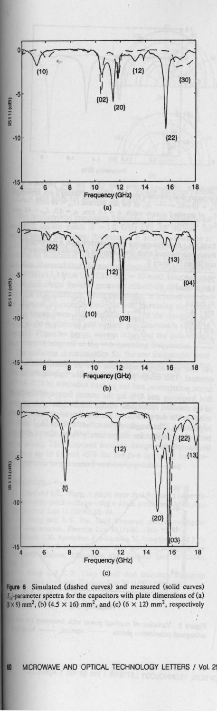

**Figure 6 Simulated** (**dashed curves**) **and measured (solid curves) IS<sub>II</sub>-parameter spectra for the capacitors with plate dimensions of (a)**  $(\frac{1}{8} \times 9)$  mm<sup>2</sup>, (b) (4.5  $\times$  16) mm<sup>2</sup>, and (c) (6  $\times$  12) mm<sup>2</sup>, respectively